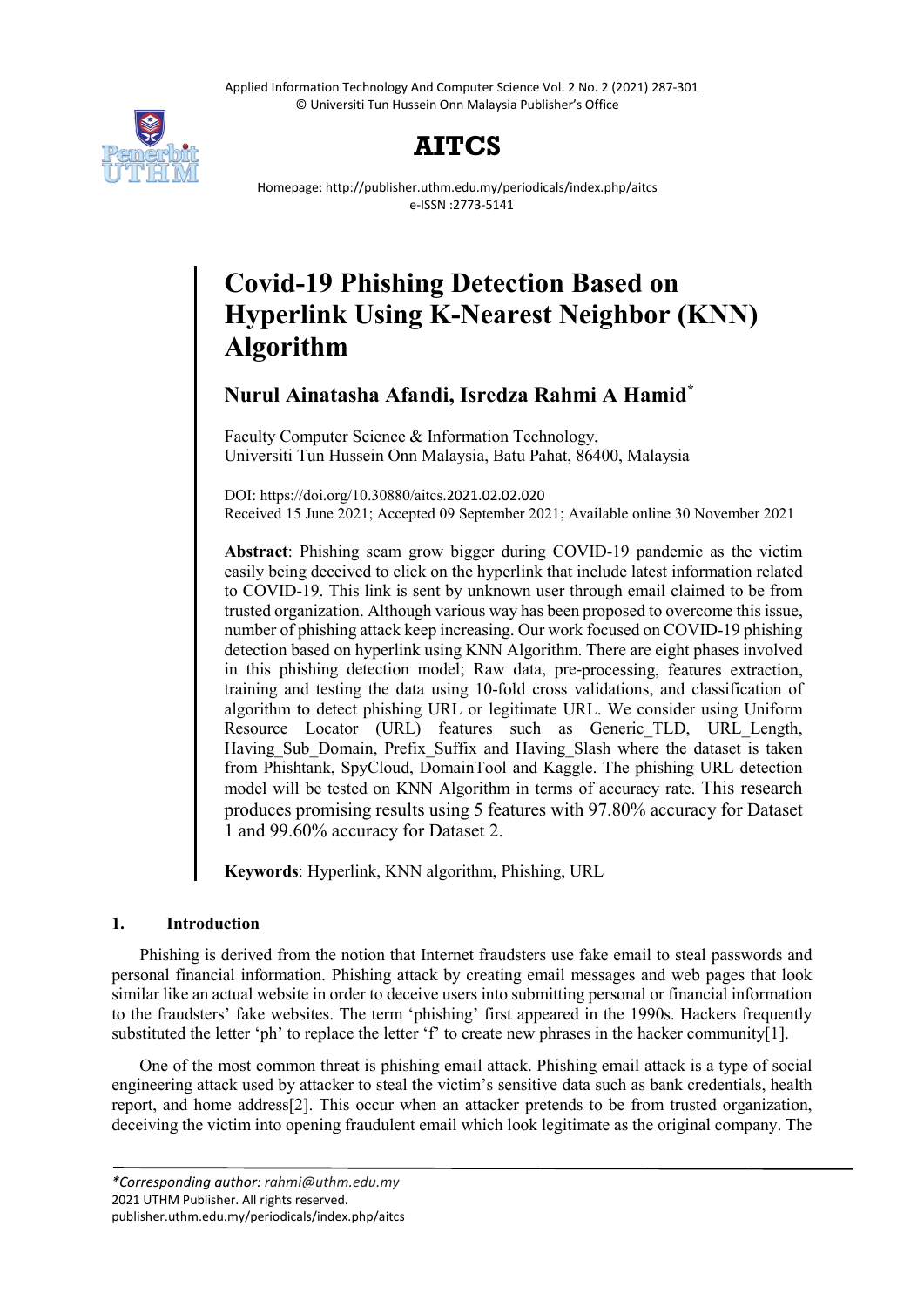Applied Information Technology And Computer Science Vol. 2 No. 2 (2021) 287-301 © Universiti Tun Hussein Onn Malaysia Publisher's Office





Homepage: http://publisher.uthm.edu.my/periodicals/index.php/aitcs e-ISSN :2773-5141

# **Covid-19 Phishing Detection Based on Hyperlink Using K-Nearest Neighbor (KNN) Algorithm**

# **Nurul Ainatasha Afandi, Isredza Rahmi A Hamid\***

Faculty Computer Science & Information Technology, Universiti Tun Hussein Onn Malaysia, Batu Pahat, 86400, Malaysia

DOI: https://doi.org/10.30880/aitcs.2021.02.02.020 Received 15 June 2021; Accepted 09 September 2021; Available online 30 November 2021

**Abstract**: Phishing scam grow bigger during COVID-19 pandemic as the victim easily being deceived to click on the hyperlink that include latest information related to COVID-19. This link is sent by unknown user through email claimed to be from trusted organization. Although various way has been proposed to overcome this issue, number of phishing attack keep increasing. Our work focused on COVID-19 phishing detection based on hyperlink using KNN Algorithm. There are eight phases involved in this phishing detection model; Raw data, pre-processing, features extraction, training and testing the data using 10-fold cross validations, and classification of algorithm to detect phishing URL or legitimate URL. We consider using Uniform Resource Locator (URL) features such as Generic TLD, URL Length, Having Sub Domain, Prefix Suffix and Having\_Slash where the dataset is taken from Phishtank, SpyCloud, DomainTool and Kaggle. The phishing URL detection model will be tested on KNN Algorithm in terms of accuracy rate. This research produces promising results using 5 features with 97.80% accuracy for Dataset 1 and 99.60% accuracy for Dataset 2.

**Keywords**: Hyperlink, KNN algorithm, Phishing, URL

# **1. Introduction**

Phishing is derived from the notion that Internet fraudsters use fake email to steal passwords and personal financial information. Phishing attack by creating email messages and web pages that look similar like an actual website in order to deceive users into submitting personal or financial information to the fraudsters' fake websites. The term 'phishing' first appeared in the 1990s. Hackers frequently substituted the letter 'ph' to replace the letter 'f' to create new phrases in the hacker community[1].

One of the most common threat is phishing email attack. Phishing email attack is a type of social engineering attack used by attacker to steal the victim's sensitive data such as bank credentials, health report, and home address[2]. This occur when an attacker pretends to be from trusted organization, deceiving the victim into opening fraudulent email which look legitimate as the original company. The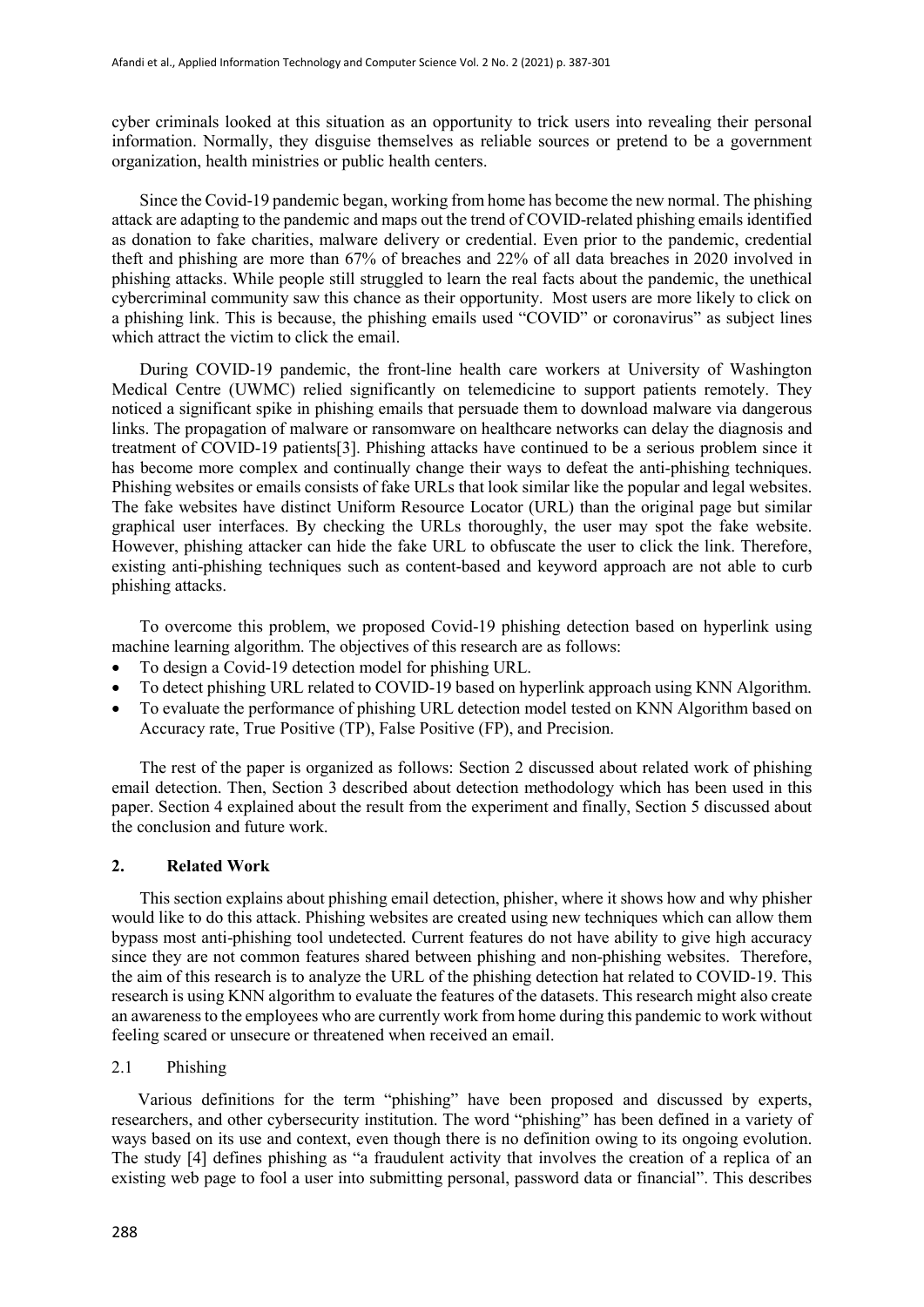cyber criminals looked at this situation as an opportunity to trick users into revealing their personal information. Normally, they disguise themselves as reliable sources or pretend to be a government organization, health ministries or public health centers.

Since the Covid-19 pandemic began, working from home has become the new normal. The phishing attack are adapting to the pandemic and maps out the trend of COVID-related phishing emails identified as donation to fake charities, malware delivery or credential. Even prior to the pandemic, credential theft and phishing are more than 67% of breaches and 22% of all data breaches in 2020 involved in phishing attacks. While people still struggled to learn the real facts about the pandemic, the unethical cybercriminal community saw this chance as their opportunity. Most users are more likely to click on a phishing link. This is because, the phishing emails used "COVID" or coronavirus" as subject lines which attract the victim to click the email.

During COVID-19 pandemic, the front-line health care workers at University of Washington Medical Centre (UWMC) relied significantly on telemedicine to support patients remotely. They noticed a significant spike in phishing emails that persuade them to download malware via dangerous links. The propagation of malware or ransomware on healthcare networks can delay the diagnosis and treatment of COVID-19 patients[3]. Phishing attacks have continued to be a serious problem since it has become more complex and continually change their ways to defeat the anti-phishing techniques. Phishing websites or emails consists of fake URLs that look similar like the popular and legal websites. The fake websites have distinct Uniform Resource Locator (URL) than the original page but similar graphical user interfaces. By checking the URLs thoroughly, the user may spot the fake website. However, phishing attacker can hide the fake URL to obfuscate the user to click the link. Therefore, existing anti-phishing techniques such as content-based and keyword approach are not able to curb phishing attacks.

To overcome this problem, we proposed Covid-19 phishing detection based on hyperlink using machine learning algorithm. The objectives of this research are as follows:

- To design a Covid-19 detection model for phishing URL.
- To detect phishing URL related to COVID-19 based on hyperlink approach using KNN Algorithm.
- To evaluate the performance of phishing URL detection model tested on KNN Algorithm based on Accuracy rate, True Positive (TP), False Positive (FP), and Precision.

The rest of the paper is organized as follows: Section 2 discussed about related work of phishing email detection. Then, Section 3 described about detection methodology which has been used in this paper. Section 4 explained about the result from the experiment and finally, Section 5 discussed about the conclusion and future work.

# **2. Related Work**

This section explains about phishing email detection, phisher, where it shows how and why phisher would like to do this attack. Phishing websites are created using new techniques which can allow them bypass most anti-phishing tool undetected. Current features do not have ability to give high accuracy since they are not common features shared between phishing and non-phishing websites. Therefore, the aim of this research is to analyze the URL of the phishing detection hat related to COVID-19. This research is using KNN algorithm to evaluate the features of the datasets. This research might also create an awareness to the employees who are currently work from home during this pandemic to work without feeling scared or unsecure or threatened when received an email.

# 2.1 Phishing

Various definitions for the term "phishing" have been proposed and discussed by experts, researchers, and other cybersecurity institution. The word "phishing" has been defined in a variety of ways based on its use and context, even though there is no definition owing to its ongoing evolution. The study [4] defines phishing as "a fraudulent activity that involves the creation of a replica of an existing web page to fool a user into submitting personal, password data or financial". This describes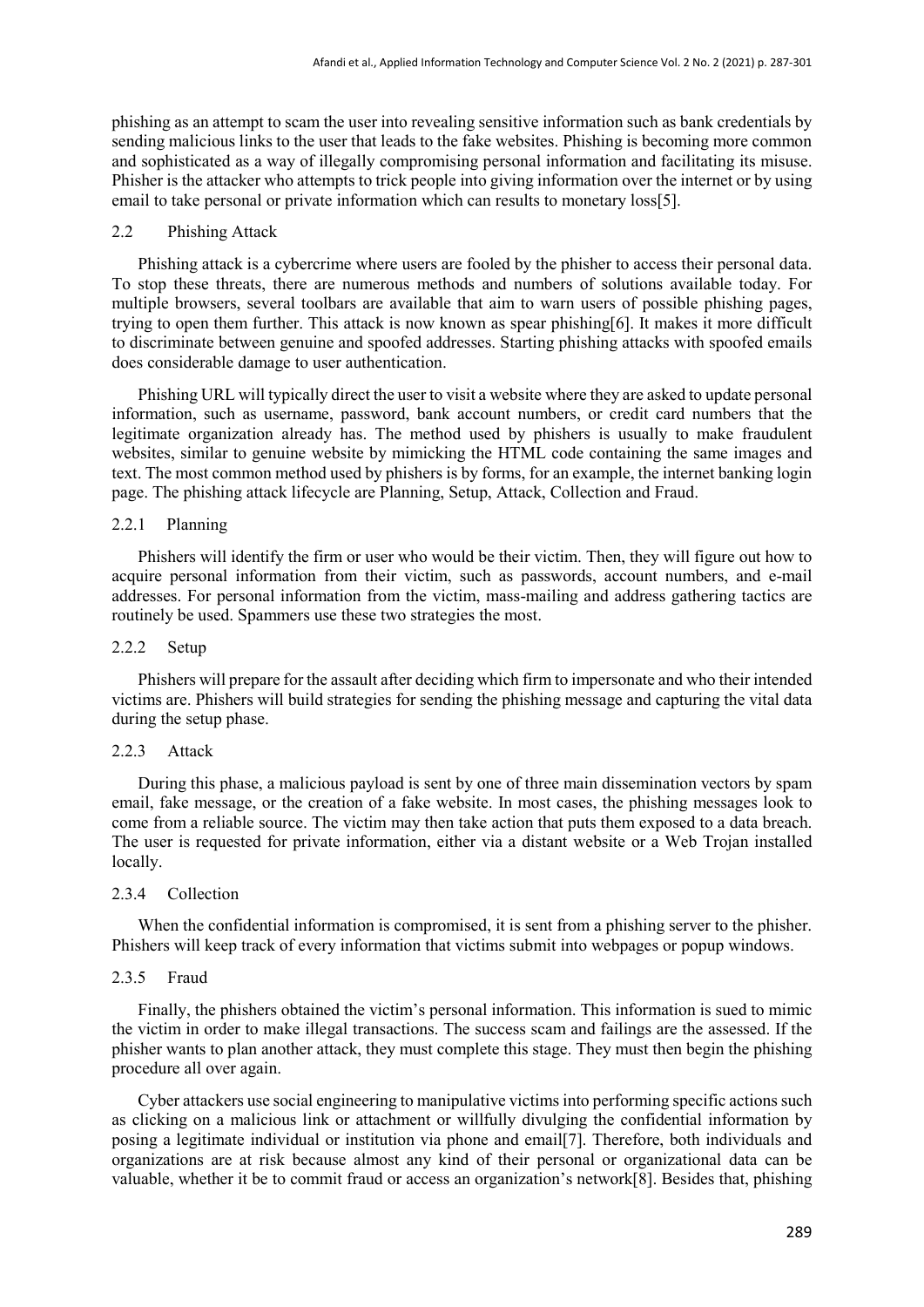phishing as an attempt to scam the user into revealing sensitive information such as bank credentials by sending malicious links to the user that leads to the fake websites. Phishing is becoming more common and sophisticated as a way of illegally compromising personal information and facilitating its misuse. Phisher is the attacker who attempts to trick people into giving information over the internet or by using email to take personal or private information which can results to monetary loss[5].

#### 2.2 Phishing Attack

Phishing attack is a cybercrime where users are fooled by the phisher to access their personal data. To stop these threats, there are numerous methods and numbers of solutions available today. For multiple browsers, several toolbars are available that aim to warn users of possible phishing pages, trying to open them further. This attack is now known as spear phishing[6]. It makes it more difficult to discriminate between genuine and spoofed addresses. Starting phishing attacks with spoofed emails does considerable damage to user authentication.

Phishing URL will typically direct the user to visit a website where they are asked to update personal information, such as username, password, bank account numbers, or credit card numbers that the legitimate organization already has. The method used by phishers is usually to make fraudulent websites, similar to genuine website by mimicking the HTML code containing the same images and text. The most common method used by phishers is by forms, for an example, the internet banking login page. The phishing attack lifecycle are Planning, Setup, Attack, Collection and Fraud.

# 2.2.1 Planning

Phishers will identify the firm or user who would be their victim. Then, they will figure out how to acquire personal information from their victim, such as passwords, account numbers, and e-mail addresses. For personal information from the victim, mass-mailing and address gathering tactics are routinely be used. Spammers use these two strategies the most.

### 2.2.2 Setup

Phishers will prepare for the assault after deciding which firm to impersonate and who their intended victims are. Phishers will build strategies for sending the phishing message and capturing the vital data during the setup phase.

#### 2.2.3 Attack

During this phase, a malicious payload is sent by one of three main dissemination vectors by spam email, fake message, or the creation of a fake website. In most cases, the phishing messages look to come from a reliable source. The victim may then take action that puts them exposed to a data breach. The user is requested for private information, either via a distant website or a Web Trojan installed locally.

# 2.3.4 Collection

When the confidential information is compromised, it is sent from a phishing server to the phisher. Phishers will keep track of every information that victims submit into webpages or popup windows.

# 2.3.5 Fraud

Finally, the phishers obtained the victim's personal information. This information is sued to mimic the victim in order to make illegal transactions. The success scam and failings are the assessed. If the phisher wants to plan another attack, they must complete this stage. They must then begin the phishing procedure all over again.

Cyber attackers use social engineering to manipulative victims into performing specific actions such as clicking on a malicious link or attachment or willfully divulging the confidential information by posing a legitimate individual or institution via phone and email[7]. Therefore, both individuals and organizations are at risk because almost any kind of their personal or organizational data can be valuable, whether it be to commit fraud or access an organization's network[8]. Besides that, phishing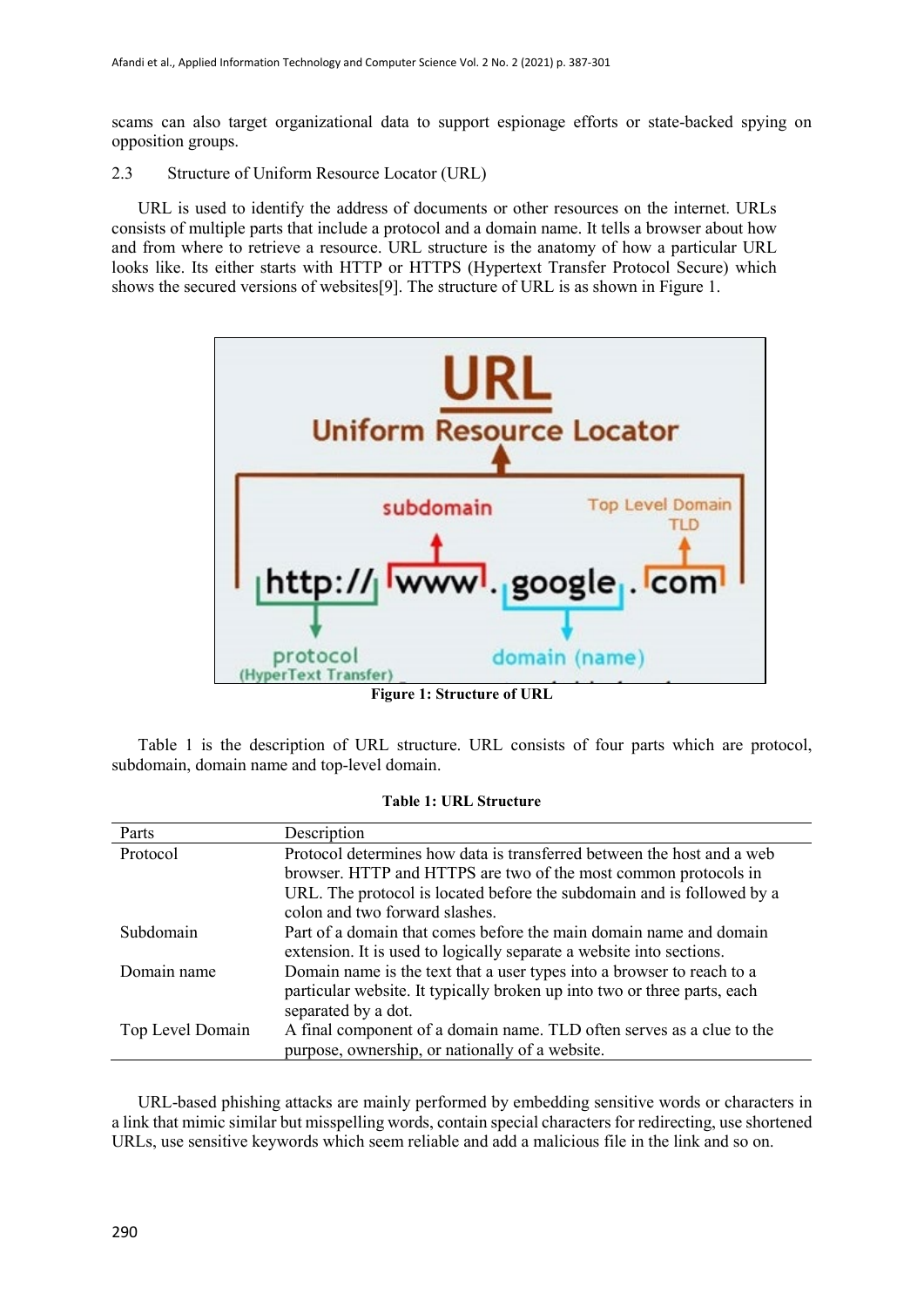scams can also target organizational data to support espionage efforts or state-backed spying on opposition groups.

2.3 Structure of Uniform Resource Locator (URL)

URL is used to identify the address of documents or other resources on the internet. URLs consists of multiple parts that include a protocol and a domain name. It tells a browser about how and from where to retrieve a resource. URL structure is the anatomy of how a particular URL looks like. Its either starts with HTTP or HTTPS (Hypertext Transfer Protocol Secure) which shows the secured versions of websites[9]. The structure of URL is as shown in Figure 1.



**Figure 1: Structure of URL**

Table 1 is the description of URL structure. URL consists of four parts which are protocol, subdomain, domain name and top-level domain.

| Parts            | Description                                                              |
|------------------|--------------------------------------------------------------------------|
| Protocol         | Protocol determines how data is transferred between the host and a web   |
|                  | browser. HTTP and HTTPS are two of the most common protocols in          |
|                  | URL. The protocol is located before the subdomain and is followed by a   |
|                  | colon and two forward slashes.                                           |
| Subdomain        | Part of a domain that comes before the main domain name and domain       |
|                  | extension. It is used to logically separate a website into sections.     |
| Domain name      | Domain name is the text that a user types into a browser to reach to a   |
|                  | particular website. It typically broken up into two or three parts, each |
|                  | separated by a dot.                                                      |
| Top Level Domain | A final component of a domain name. TLD often serves as a clue to the    |
|                  | purpose, ownership, or nationally of a website.                          |

#### **Table 1: URL Structure**

URL-based phishing attacks are mainly performed by embedding sensitive words or characters in a link that mimic similar but misspelling words, contain special characters for redirecting, use shortened URLs, use sensitive keywords which seem reliable and add a malicious file in the link and so on.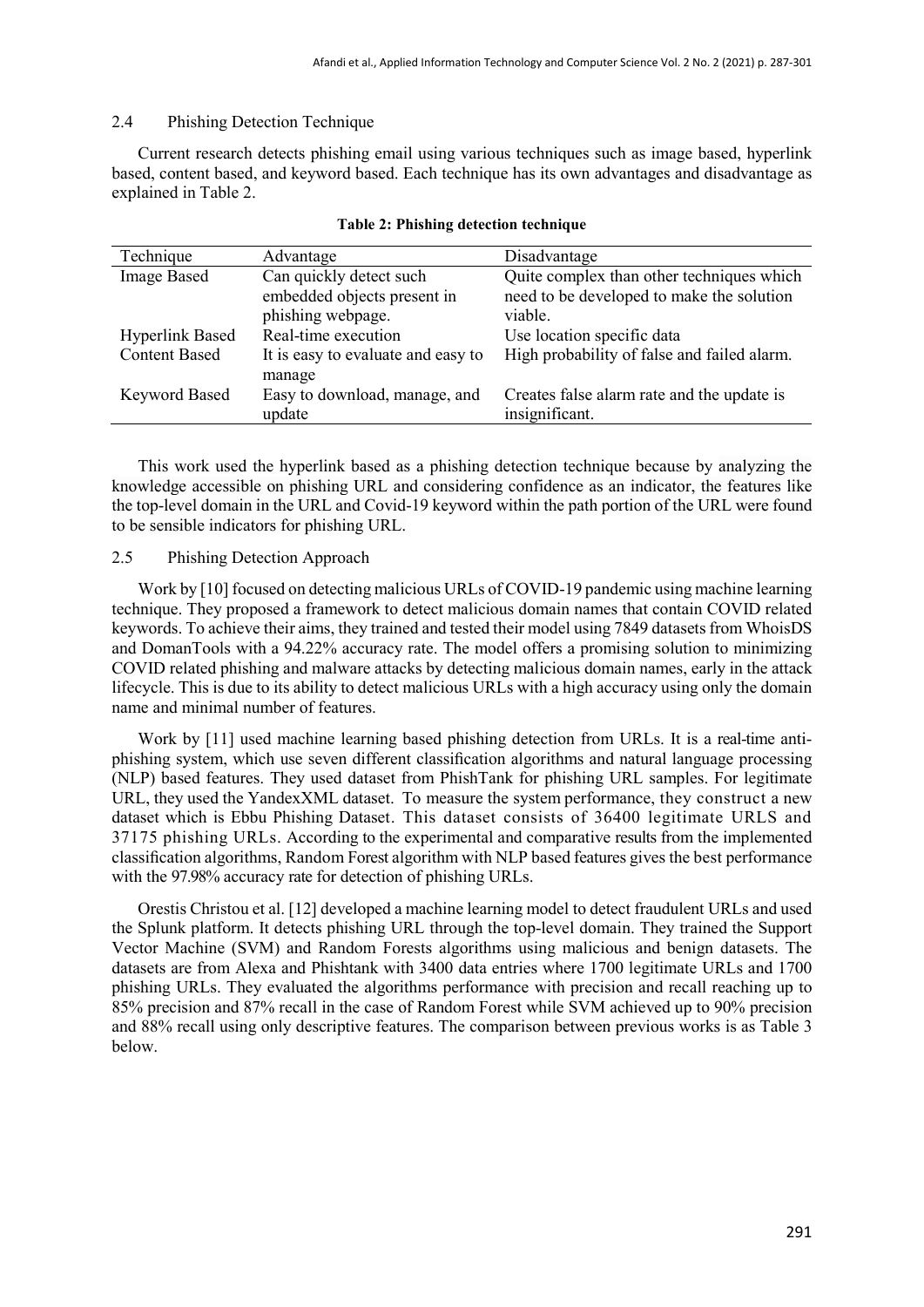# 2.4 Phishing Detection Technique

Current research detects phishing email using various techniques such as image based, hyperlink based, content based, and keyword based. Each technique has its own advantages and disadvantage as explained in Table 2.

| Technique              | Advantage                          | Disadvantage                                |
|------------------------|------------------------------------|---------------------------------------------|
| <b>Image Based</b>     | Can quickly detect such            | Quite complex than other techniques which   |
|                        | embedded objects present in        | need to be developed to make the solution   |
|                        | phishing webpage.                  | viable.                                     |
| <b>Hyperlink Based</b> | Real-time execution                | Use location specific data                  |
| <b>Content Based</b>   | It is easy to evaluate and easy to | High probability of false and failed alarm. |
|                        | manage                             |                                             |
| <b>Keyword Based</b>   | Easy to download, manage, and      | Creates false alarm rate and the update is  |
|                        | update                             | insignificant.                              |

#### **Table 2: Phishing detection technique**

This work used the hyperlink based as a phishing detection technique because by analyzing the knowledge accessible on phishing URL and considering confidence as an indicator, the features like the top-level domain in the URL and Covid-19 keyword within the path portion of the URL were found to be sensible indicators for phishing URL.

# 2.5 Phishing Detection Approach

Work by [10] focused on detecting malicious URLs of COVID-19 pandemic using machine learning technique. They proposed a framework to detect malicious domain names that contain COVID related keywords. To achieve their aims, they trained and tested their model using 7849 datasets from WhoisDS and DomanTools with a 94.22% accuracy rate. The model offers a promising solution to minimizing COVID related phishing and malware attacks by detecting malicious domain names, early in the attack lifecycle. This is due to its ability to detect malicious URLs with a high accuracy using only the domain name and minimal number of features.

Work by [11] used machine learning based phishing detection from URLs. It is a real-time antiphishing system, which use seven different classification algorithms and natural language processing (NLP) based features. They used dataset from PhishTank for phishing URL samples. For legitimate URL, they used the YandexXML dataset. To measure the system performance, they construct a new dataset which is Ebbu Phishing Dataset. This dataset consists of 36400 legitimate URLS and 37175 phishing URLs. According to the experimental and comparative results from the implemented classification algorithms, Random Forest algorithm with NLP based features gives the best performance with the 97.98% accuracy rate for detection of phishing URLs.

Orestis Christou et al. [12] developed a machine learning model to detect fraudulent URLs and used the Splunk platform. It detects phishing URL through the top-level domain. They trained the Support Vector Machine (SVM) and Random Forests algorithms using malicious and benign datasets. The datasets are from Alexa and Phishtank with 3400 data entries where 1700 legitimate URLs and 1700 phishing URLs. They evaluated the algorithms performance with precision and recall reaching up to 85% precision and 87% recall in the case of Random Forest while SVM achieved up to 90% precision and 88% recall using only descriptive features. The comparison between previous works is as Table 3 below.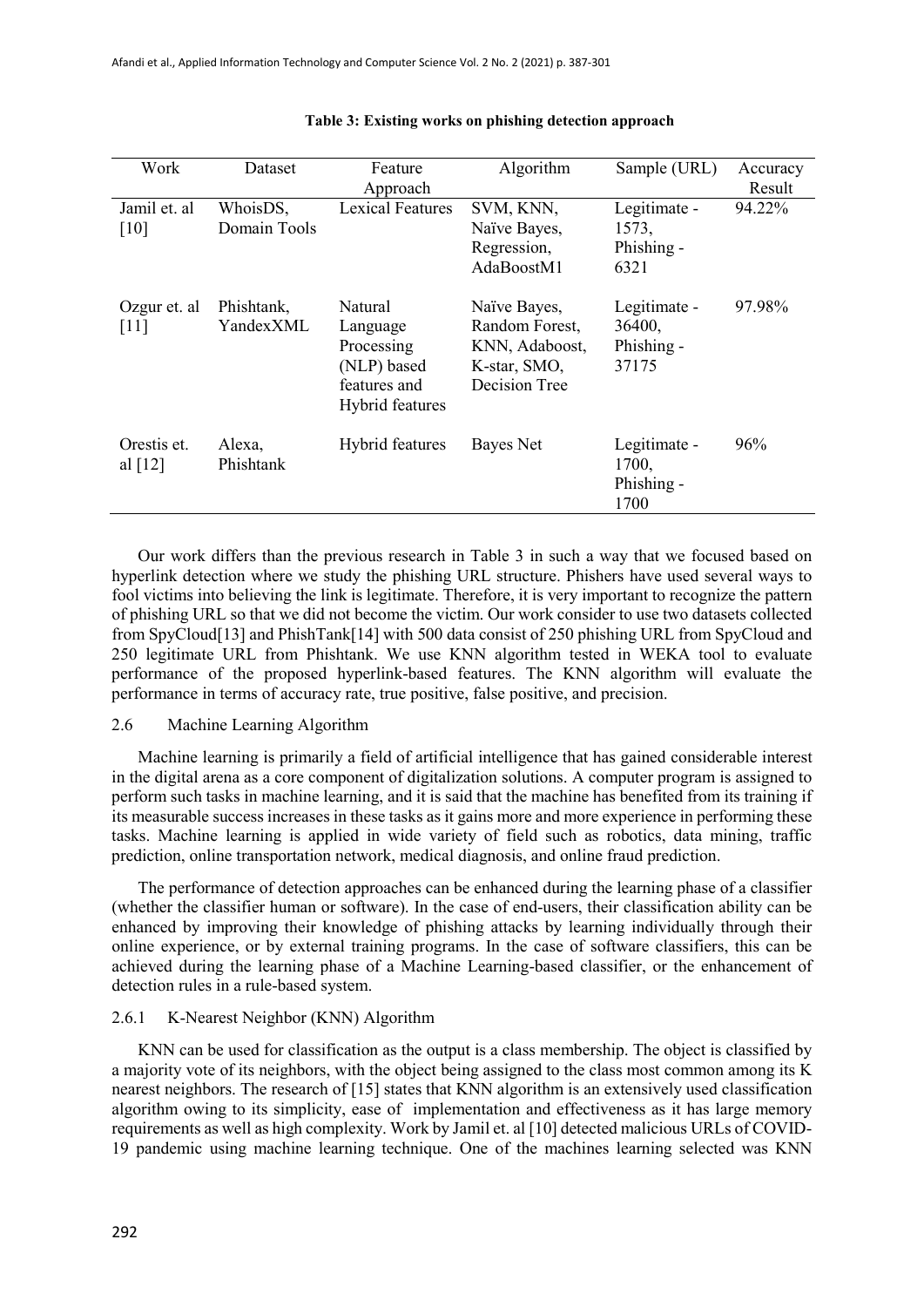| Work                     | Dataset                  | Feature                                                                             | Algorithm                                                                         | Sample (URL)                                  | Accuracy |
|--------------------------|--------------------------|-------------------------------------------------------------------------------------|-----------------------------------------------------------------------------------|-----------------------------------------------|----------|
|                          |                          | Approach                                                                            |                                                                                   |                                               | Result   |
| Jamil et. al<br>[10]     | WhoisDS,<br>Domain Tools | <b>Lexical Features</b>                                                             | SVM, KNN,<br>Naïve Bayes,<br>Regression,<br>AdaBoostM1                            | Legitimate -<br>1573,<br>Phishing -<br>6321   | 94.22%   |
| Ozgur et. al<br>[11]     | Phishtank,<br>YandexXML  | Natural<br>Language<br>Processing<br>(NLP) based<br>features and<br>Hybrid features | Naïve Bayes,<br>Random Forest,<br>KNN, Adaboost,<br>K-star, SMO,<br>Decision Tree | Legitimate -<br>36400,<br>Phishing -<br>37175 | 97.98%   |
| Orestis et.<br>al $[12]$ | Alexa,<br>Phishtank      | Hybrid features                                                                     | Bayes Net                                                                         | Legitimate -<br>1700,<br>Phishing -<br>1700   | 96%      |

#### **Table 3: Existing works on phishing detection approach**

Our work differs than the previous research in Table 3 in such a way that we focused based on hyperlink detection where we study the phishing URL structure. Phishers have used several ways to fool victims into believing the link is legitimate. Therefore, it is very important to recognize the pattern of phishing URL so that we did not become the victim. Our work consider to use two datasets collected from SpyCloud[13] and PhishTank[14] with 500 data consist of 250 phishing URL from SpyCloud and 250 legitimate URL from Phishtank. We use KNN algorithm tested in WEKA tool to evaluate performance of the proposed hyperlink-based features. The KNN algorithm will evaluate the performance in terms of accuracy rate, true positive, false positive, and precision.

# 2.6 Machine Learning Algorithm

Machine learning is primarily a field of artificial intelligence that has gained considerable interest in the digital arena as a core component of digitalization solutions. A computer program is assigned to perform such tasks in machine learning, and it is said that the machine has benefited from its training if its measurable success increases in these tasks as it gains more and more experience in performing these tasks. Machine learning is applied in wide variety of field such as robotics, data mining, traffic prediction, online transportation network, medical diagnosis, and online fraud prediction.

The performance of detection approaches can be enhanced during the learning phase of a classifier (whether the classifier human or software). In the case of end-users, their classification ability can be enhanced by improving their knowledge of phishing attacks by learning individually through their online experience, or by external training programs. In the case of software classifiers, this can be achieved during the learning phase of a Machine Learning-based classifier, or the enhancement of detection rules in a rule-based system.

#### 2.6.1 K-Nearest Neighbor (KNN) Algorithm

KNN can be used for classification as the output is a class membership. The object is classified by a majority vote of its neighbors, with the object being assigned to the class most common among its K nearest neighbors. The research of [15] states that KNN algorithm is an extensively used classification algorithm owing to its simplicity, ease of implementation and effectiveness as it has large memory requirements as well as high complexity. Work by Jamil et. al [10] detected malicious URLs of COVID-19 pandemic using machine learning technique. One of the machines learning selected was KNN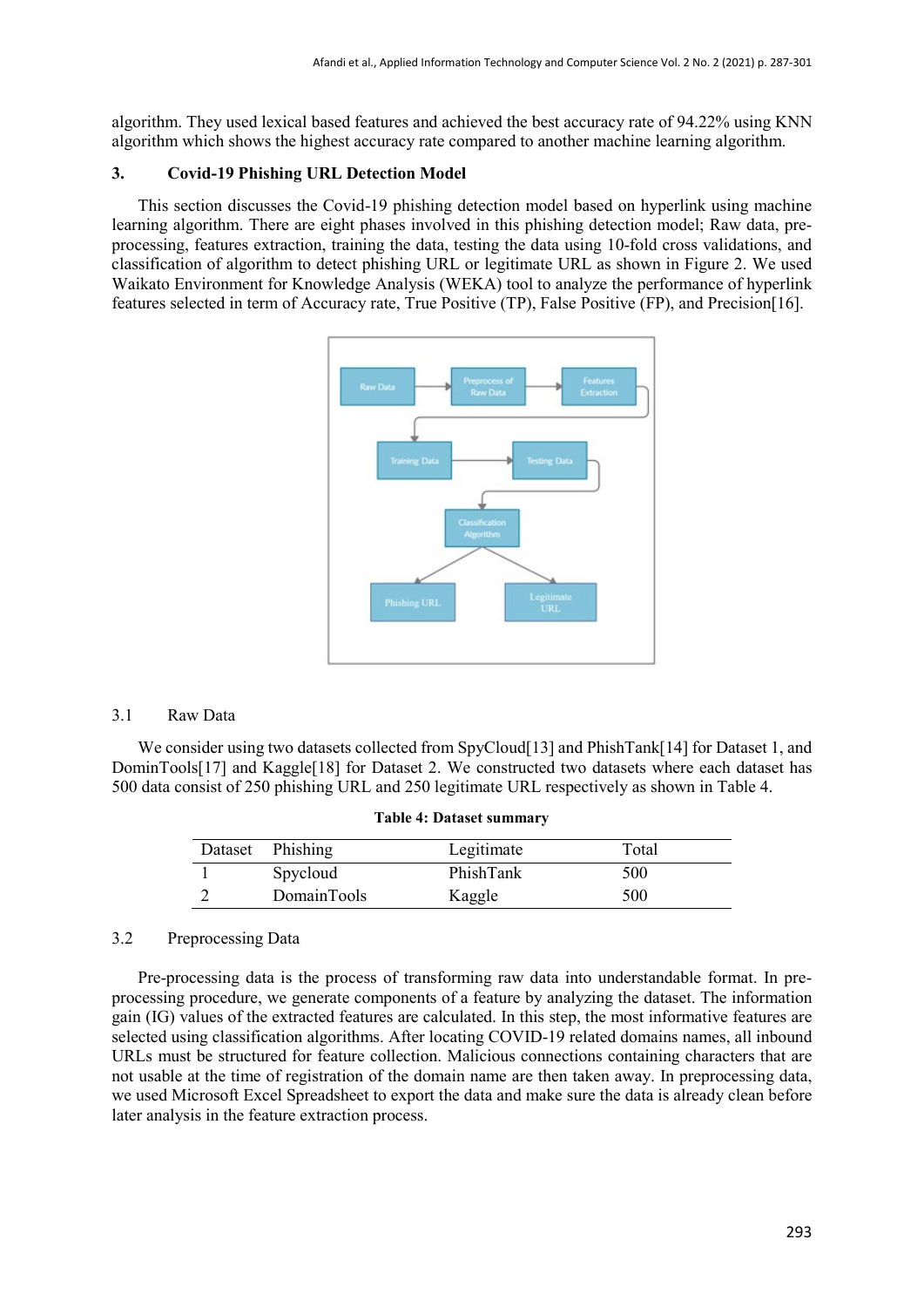algorithm. They used lexical based features and achieved the best accuracy rate of 94.22% using KNN algorithm which shows the highest accuracy rate compared to another machine learning algorithm.

# **3. Covid-19 Phishing URL Detection Model**

This section discusses the Covid-19 phishing detection model based on hyperlink using machine learning algorithm. There are eight phases involved in this phishing detection model; Raw data, preprocessing, features extraction, training the data, testing the data using 10-fold cross validations, and classification of algorithm to detect phishing URL or legitimate URL as shown in Figure 2. We used Waikato Environment for Knowledge Analysis (WEKA) tool to analyze the performance of hyperlink features selected in term of Accuracy rate, True Positive (TP), False Positive (FP), and Precision[16].



### 3.1 Raw Data

We consider using two datasets collected from SpyCloud[13] and PhishTank[14] for Dataset 1, and DominTools[17] and Kaggle[18] for Dataset 2. We constructed two datasets where each dataset has 500 data consist of 250 phishing URL and 250 legitimate URL respectively as shown in Table 4.

| Dataset Phishing | Legitimate | Total |  |
|------------------|------------|-------|--|
| Spycloud         | PhishTank  | 500   |  |
| DomainTools      | Kaggle     | 500   |  |

### **Table 4: Dataset summary**

### 3.2 Preprocessing Data

Pre-processing data is the process of transforming raw data into understandable format. In preprocessing procedure, we generate components of a feature by analyzing the dataset. The information gain (IG) values of the extracted features are calculated. In this step, the most informative features are selected using classification algorithms. After locating COVID-19 related domains names, all inbound URLs must be structured for feature collection. Malicious connections containing characters that are not usable at the time of registration of the domain name are then taken away. In preprocessing data, we used Microsoft Excel Spreadsheet to export the data and make sure the data is already clean before later analysis in the feature extraction process.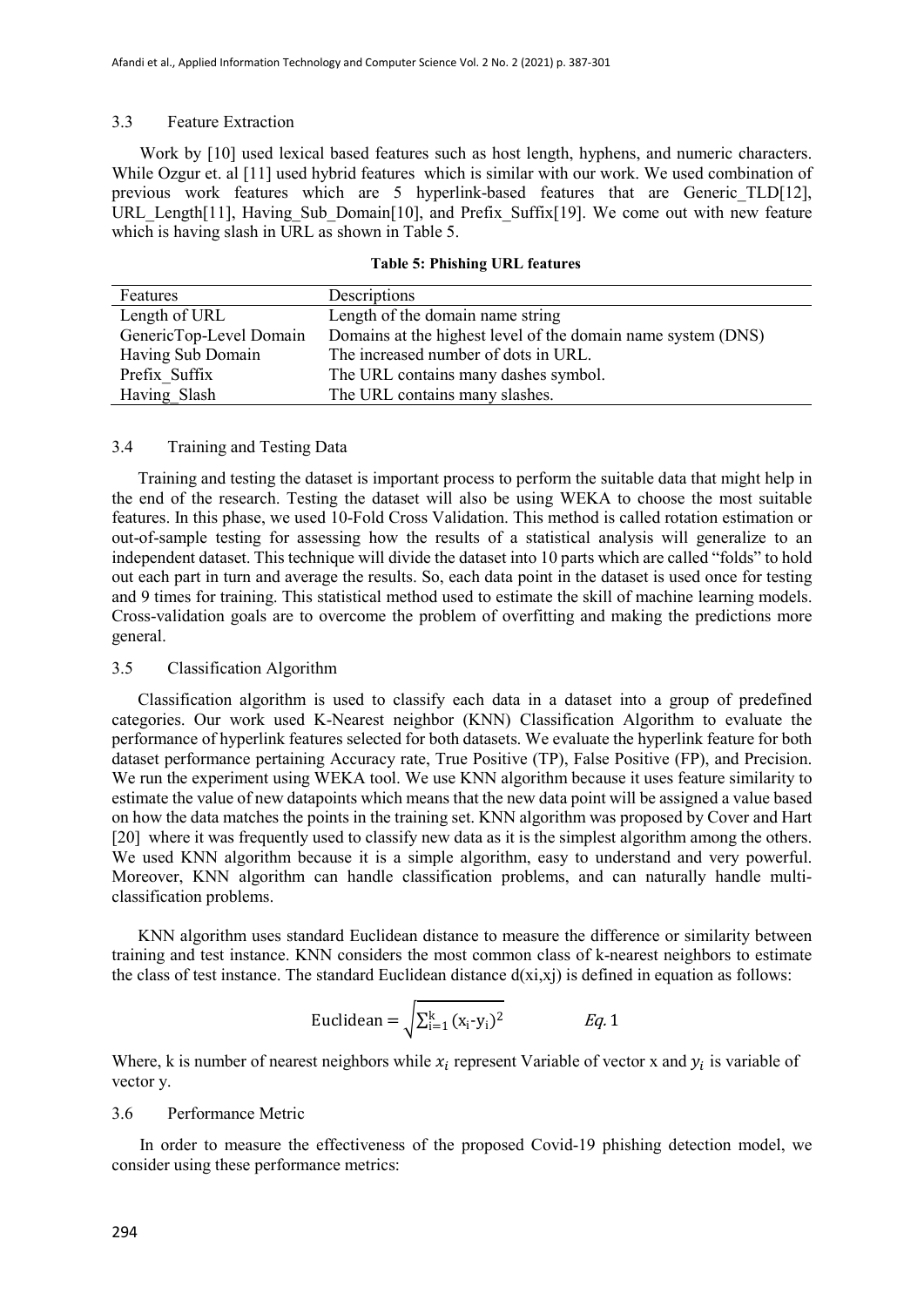# 3.3 Feature Extraction

Work by [10] used lexical based features such as host length, hyphens, and numeric characters. While Ozgur et. al [11] used hybrid features which is similar with our work. We used combination of previous work features which are 5 hyperlink-based features that are Generic\_TLD[12], URL Length[11], Having Sub Domain[10], and Prefix Suffix[19]. We come out with new feature which is having slash in URL as shown in Table 5.

| Features                | Descriptions                                                 |
|-------------------------|--------------------------------------------------------------|
| Length of URL           | Length of the domain name string                             |
| GenericTop-Level Domain | Domains at the highest level of the domain name system (DNS) |
| Having Sub Domain       | The increased number of dots in URL.                         |
| Prefix Suffix           | The URL contains many dashes symbol.                         |
| Having Slash            | The URL contains many slashes.                               |

|  | <b>Table 5: Phishing URL features</b> |  |  |
|--|---------------------------------------|--|--|
|--|---------------------------------------|--|--|

### 3.4 Training and Testing Data

Training and testing the dataset is important process to perform the suitable data that might help in the end of the research. Testing the dataset will also be using WEKA to choose the most suitable features. In this phase, we used 10-Fold Cross Validation. This method is called rotation estimation or out-of-sample testing for assessing how the results of a statistical analysis will generalize to an independent dataset. This technique will divide the dataset into 10 parts which are called "folds" to hold out each part in turn and average the results. So, each data point in the dataset is used once for testing and 9 times for training. This statistical method used to estimate the skill of machine learning models. Cross-validation goals are to overcome the problem of overfitting and making the predictions more general.

### 3.5 Classification Algorithm

Classification algorithm is used to classify each data in a dataset into a group of predefined categories. Our work used K-Nearest neighbor (KNN) Classification Algorithm to evaluate the performance of hyperlink features selected for both datasets. We evaluate the hyperlink feature for both dataset performance pertaining Accuracy rate, True Positive (TP), False Positive (FP), and Precision. We run the experiment using WEKA tool. We use KNN algorithm because it uses feature similarity to estimate the value of new datapoints which means that the new data point will be assigned a value based on how the data matches the points in the training set. KNN algorithm was proposed by Cover and Hart [20] where it was frequently used to classify new data as it is the simplest algorithm among the others. We used KNN algorithm because it is a simple algorithm, easy to understand and very powerful. Moreover, KNN algorithm can handle classification problems, and can naturally handle multiclassification problems.

KNN algorithm uses standard Euclidean distance to measure the difference or similarity between training and test instance. KNN considers the most common class of k-nearest neighbors to estimate the class of test instance. The standard Euclidean distance  $d(x_i,x_j)$  is defined in equation as follows:

$$
Euclidean = \sqrt{\sum_{i=1}^{k} (x_i - y_i)^2}
$$
 Eq. 1

Where, k is number of nearest neighbors while  $x_i$  represent Variable of vector x and  $y_i$  is variable of vector y.

# 3.6 Performance Metric

In order to measure the effectiveness of the proposed Covid-19 phishing detection model, we consider using these performance metrics: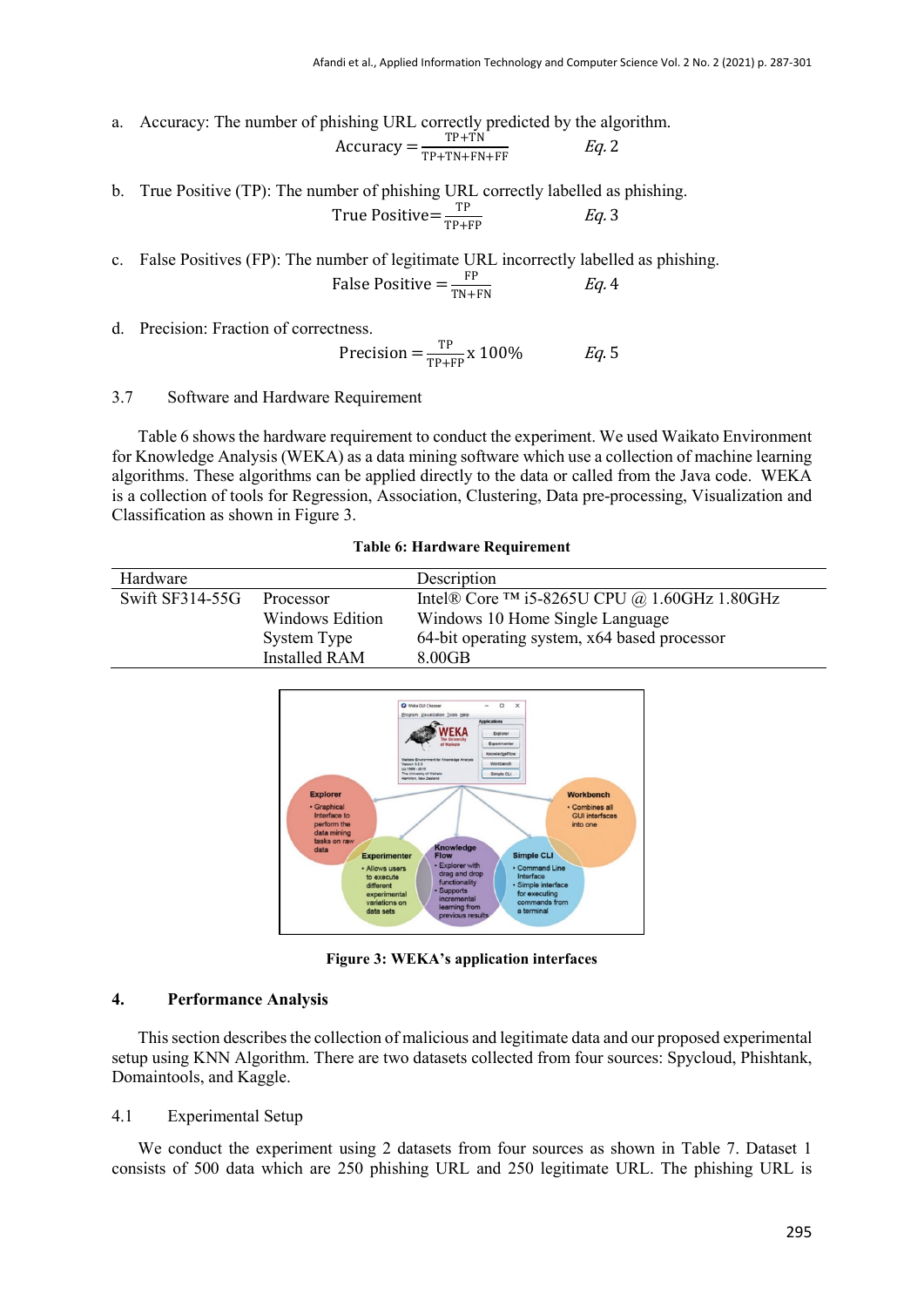a. Accuracy: The number of phishing URL correctly predicted by the algorithm.

$$
Accuracy = \frac{TP + TN}{TP + TN + FN + FF} \qquad Eq. 2
$$

b. True Positive (TP): The number of phishing URL correctly labelled as phishing. True Positive= $\frac{TP}{TP+FP}$  Eq. 3

c. False Positives (FP): The number of legitimate URL incorrectly labelled as phishing. False Positive  $=\frac{FP}{TN+FN}$  Eq. 4

d. Precision: Fraction of correctness.

Precision =  $\frac{TP}{TP+FP}$  x 100% Eq. 5

### 3.7 Software and Hardware Requirement

Table 6 shows the hardware requirement to conduct the experiment. We used Waikato Environment for Knowledge Analysis (WEKA) as a data mining software which use a collection of machine learning algorithms. These algorithms can be applied directly to the data or called from the Java code. WEKA is a collection of tools for Regression, Association, Clustering, Data pre-processing, Visualization and Classification as shown in Figure 3.

|  | <b>Table 6: Hardware Requirement</b> |
|--|--------------------------------------|
|  |                                      |

| Hardware          |                      | Description                                              |
|-------------------|----------------------|----------------------------------------------------------|
| Swift $SF314-55G$ | Processor            | Intel® Core <sup>TM</sup> i5-8265U CPU @ 1.60GHz 1.80GHz |
|                   | Windows Edition      | Windows 10 Home Single Language                          |
|                   | System Type          | 64-bit operating system, x64 based processor             |
|                   | <b>Installed RAM</b> | 8.00 <sub>GB</sub>                                       |



**Figure 3: WEKA's application interfaces**

#### **4. Performance Analysis**

This section describes the collection of malicious and legitimate data and our proposed experimental setup using KNN Algorithm. There are two datasets collected from four sources: Spycloud, Phishtank, Domaintools, and Kaggle.

# 4.1 Experimental Setup

We conduct the experiment using 2 datasets from four sources as shown in Table 7. Dataset 1 consists of 500 data which are 250 phishing URL and 250 legitimate URL. The phishing URL is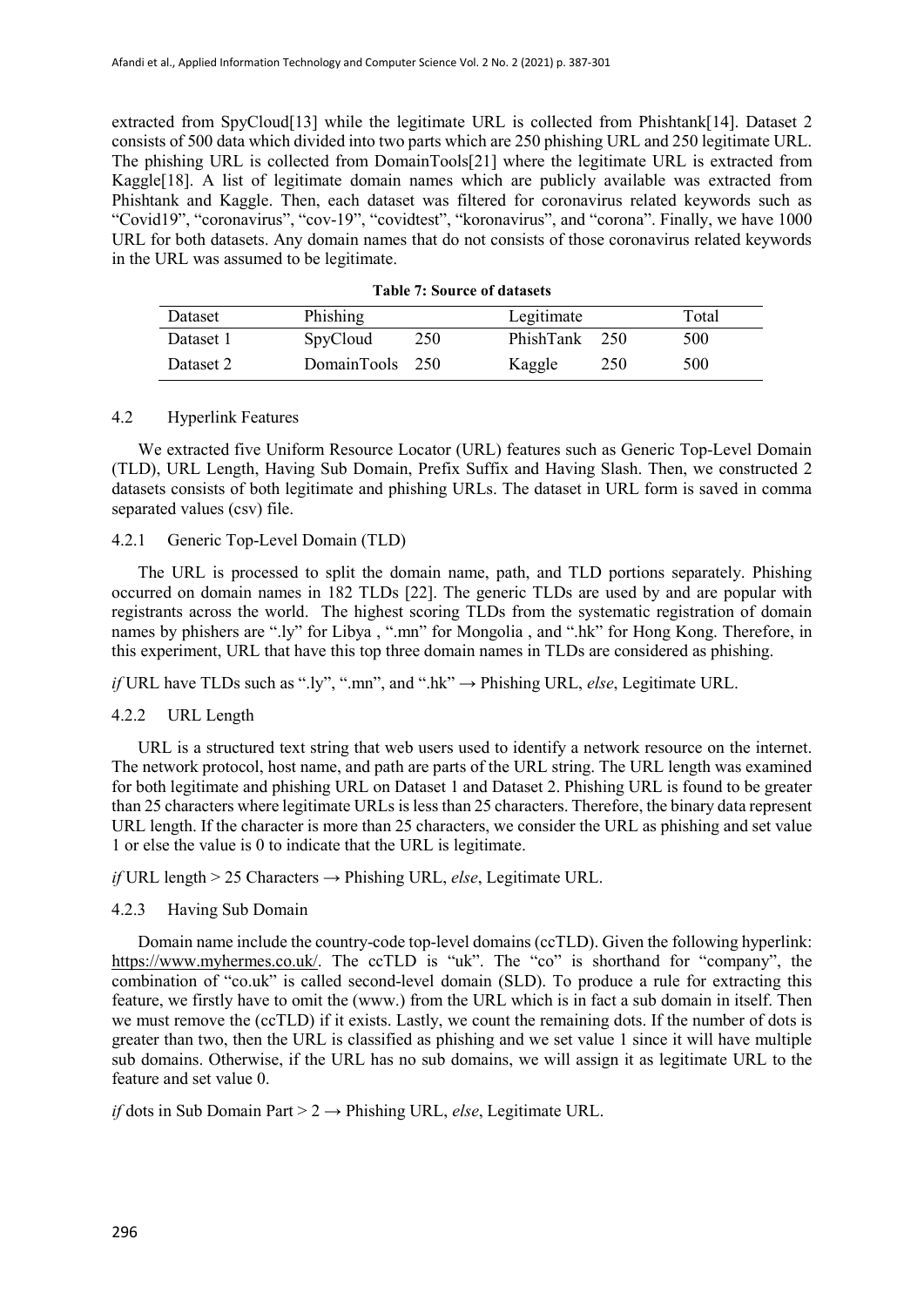extracted from SpyCloud[13] while the legitimate URL is collected from Phishtank[14]. Dataset 2 consists of 500 data which divided into two parts which are 250 phishing URL and 250 legitimate URL. The phishing URL is collected from DomainTools[21] where the legitimate URL is extracted from Kaggle<sup>[18]</sup>. A list of legitimate domain names which are publicly available was extracted from Phishtank and Kaggle. Then, each dataset was filtered for coronavirus related keywords such as "Covid19", "coronavirus", "cov-19", "covidtest", "koronavirus", and "corona". Finally, we have 1000 URL for both datasets. Any domain names that do not consists of those coronavirus related keywords in the URL was assumed to be legitimate.

| Dataset   | Phishing        |     | Legitimate    |     | Total |
|-----------|-----------------|-----|---------------|-----|-------|
| Dataset 1 | SpyCloud        | 250 | PhishTank 250 |     | 500   |
| Dataset 2 | DomainTools 250 |     | Kaggle        | 250 | 500   |

**Table 7: Source of datasets**

### 4.2 Hyperlink Features

We extracted five Uniform Resource Locator (URL) features such as Generic Top-Level Domain (TLD), URL Length, Having Sub Domain, Prefix Suffix and Having Slash. Then, we constructed 2 datasets consists of both legitimate and phishing URLs. The dataset in URL form is saved in comma separated values (csv) file.

# 4.2.1 Generic Top-Level Domain (TLD)

The URL is processed to split the domain name, path, and TLD portions separately. Phishing occurred on domain names in 182 TLDs [22]. The generic TLDs are used by and are popular with registrants across the world. The highest scoring TLDs from the systematic registration of domain names by phishers are ".ly" for Libya , ".mn" for Mongolia , and ".hk" for Hong Kong. Therefore, in this experiment, URL that have this top three domain names in TLDs are considered as phishing.

*if* URL have TLDs such as ".ly", ".mn", and ".hk" → Phishing URL, *else*, Legitimate URL.

# 4.2.2 URL Length

URL is a structured text string that web users used to identify a network resource on the internet. The network protocol, host name, and path are parts of the URL string. The URL length was examined for both legitimate and phishing URL on Dataset 1 and Dataset 2. Phishing URL is found to be greater than 25 characters where legitimate URLs is less than 25 characters. Therefore, the binary data represent URL length. If the character is more than 25 characters, we consider the URL as phishing and set value 1 or else the value is 0 to indicate that the URL is legitimate.

*if* URL length > 25 Characters → Phishing URL, *else*, Legitimate URL.

# 4.2.3 Having Sub Domain

Domain name include the country-code top-level domains (ccTLD). Given the following hyperlink: [https://www.myhermes.co.uk/.](https://www.myhermes.co.uk/) The ccTLD is "uk". The "co" is shorthand for "company", the combination of "co.uk" is called second-level domain (SLD). To produce a rule for extracting this feature, we firstly have to omit the (www.) from the URL which is in fact a sub domain in itself. Then we must remove the (ccTLD) if it exists. Lastly, we count the remaining dots. If the number of dots is greater than two, then the URL is classified as phishing and we set value 1 since it will have multiple sub domains. Otherwise, if the URL has no sub domains, we will assign it as legitimate URL to the feature and set value 0.

*if* dots in Sub Domain Part > 2 → Phishing URL, *else*, Legitimate URL.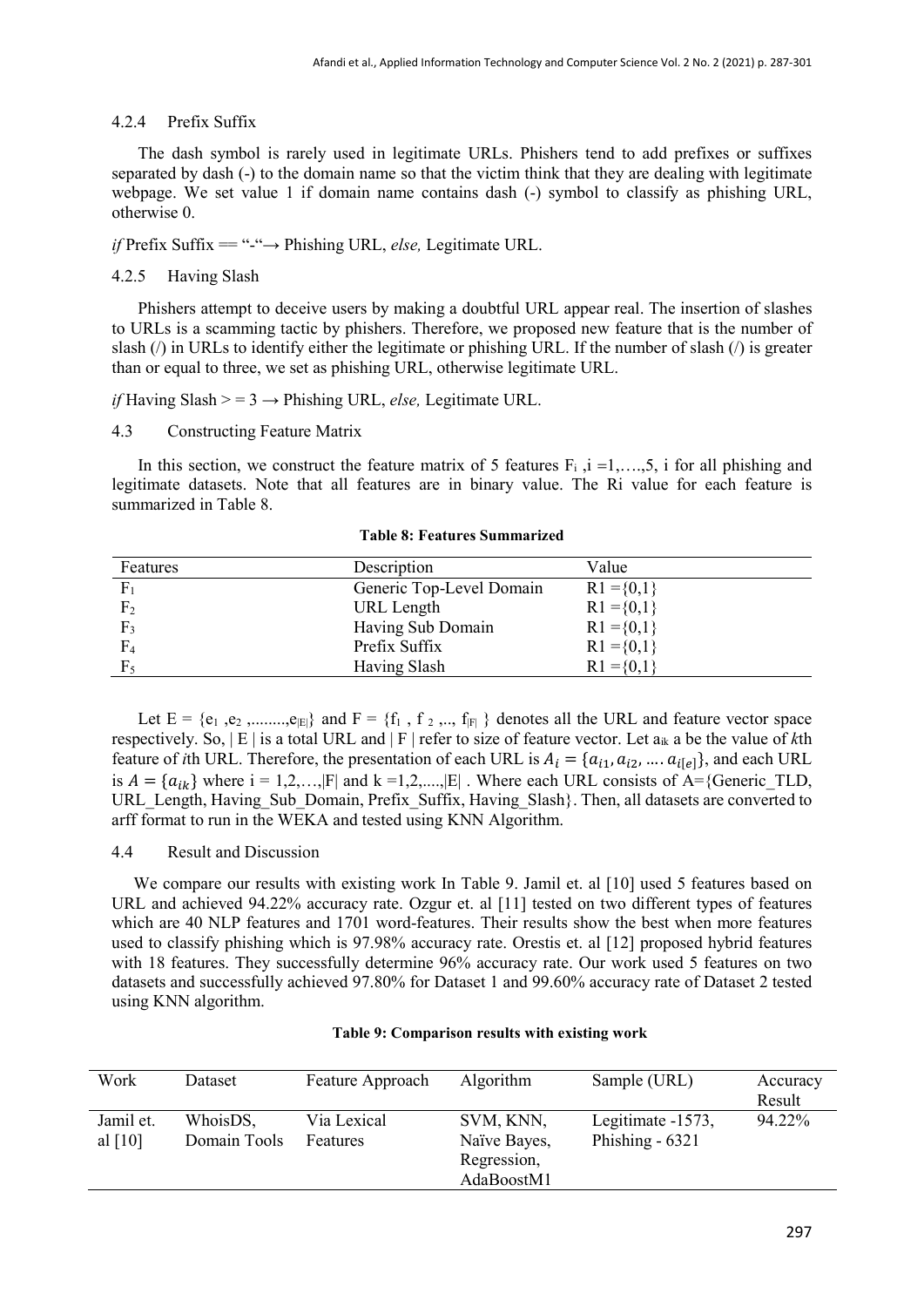# 4.2.4 Prefix Suffix

The dash symbol is rarely used in legitimate URLs. Phishers tend to add prefixes or suffixes separated by dash (-) to the domain name so that the victim think that they are dealing with legitimate webpage. We set value 1 if domain name contains dash (-) symbol to classify as phishing URL, otherwise 0.

*if* Prefix Suffix == "-"→ Phishing URL, *else,* Legitimate URL.

# 4.2.5 Having Slash

Phishers attempt to deceive users by making a doubtful URL appear real. The insertion of slashes to URLs is a scamming tactic by phishers. Therefore, we proposed new feature that is the number of slash (/) in URLs to identify either the legitimate or phishing URL. If the number of slash (/) is greater than or equal to three, we set as phishing URL, otherwise legitimate URL.

*if* Having Slash  $> = 3 \rightarrow$  Phishing URL, *else*, Legitimate URL.

# 4.3 Constructing Feature Matrix

In this section, we construct the feature matrix of 5 features  $F_i$ ,  $i = 1, \ldots, 5$ , i for all phishing and legitimate datasets. Note that all features are in binary value. The Ri value for each feature is summarized in Table 8.

| Features       | Description              | Value          |
|----------------|--------------------------|----------------|
| F <sub>1</sub> | Generic Top-Level Domain | $R1 = \{0,1\}$ |
| F <sub>2</sub> | URL Length               | $R1 = \{0,1\}$ |
| F <sub>2</sub> | Having Sub Domain        | $R1 = \{0,1\}$ |
| F <sub>4</sub> | Prefix Suffix            | $R1 = \{0,1\}$ |
|                | Having Slash             | $R1 = \{0,1\}$ |

**Table 8: Features Summarized**

Let  $E = \{e_1, e_2, \dots, e_{|E|}\}$  and  $F = \{f_1, f_2, \dots, f_{|F|}\}$  denotes all the URL and feature vector space respectively. So, | E | is a total URL and | F | refer to size of feature vector. Let aik a be the value of *k*th feature of *i*th URL. Therefore, the presentation of each URL is  $A_i = \{a_{i1}, a_{i2}, ..., a_{i\{e\}}\}$ , and each URL is  $A = \{a_{ik}\}\$  where  $i = 1,2,...,|F|$  and  $k = 1,2,...,|E|$ . Where each URL consists of A={Generic TLD, URL\_Length, Having\_Sub\_Domain, Prefix\_Suffix, Having\_Slash}. Then, all datasets are converted to arff format to run in the WEKA and tested using KNN Algorithm.

### 4.4 Result and Discussion

We compare our results with existing work In Table 9. Jamil et. al [10] used 5 features based on URL and achieved 94.22% accuracy rate. Ozgur et. al [11] tested on two different types of features which are 40 NLP features and 1701 word-features. Their results show the best when more features used to classify phishing which is 97.98% accuracy rate. Orestis et. al [12] proposed hybrid features with 18 features. They successfully determine 96% accuracy rate. Our work used 5 features on two datasets and successfully achieved 97.80% for Dataset 1 and 99.60% accuracy rate of Dataset 2 tested using KNN algorithm.

| Work                   | Dataset                  | Feature Approach        | Algorithm                                              | Sample (URL)                          | Accuracy<br>Result |
|------------------------|--------------------------|-------------------------|--------------------------------------------------------|---------------------------------------|--------------------|
| Jamil et.<br>al $[10]$ | WhoisDS,<br>Domain Tools | Via Lexical<br>Features | SVM, KNN,<br>Naïve Bayes,<br>Regression,<br>AdaBoostM1 | Legitimate -1573,<br>Phishing $-6321$ | 94.22%             |

#### **Table 9: Comparison results with existing work**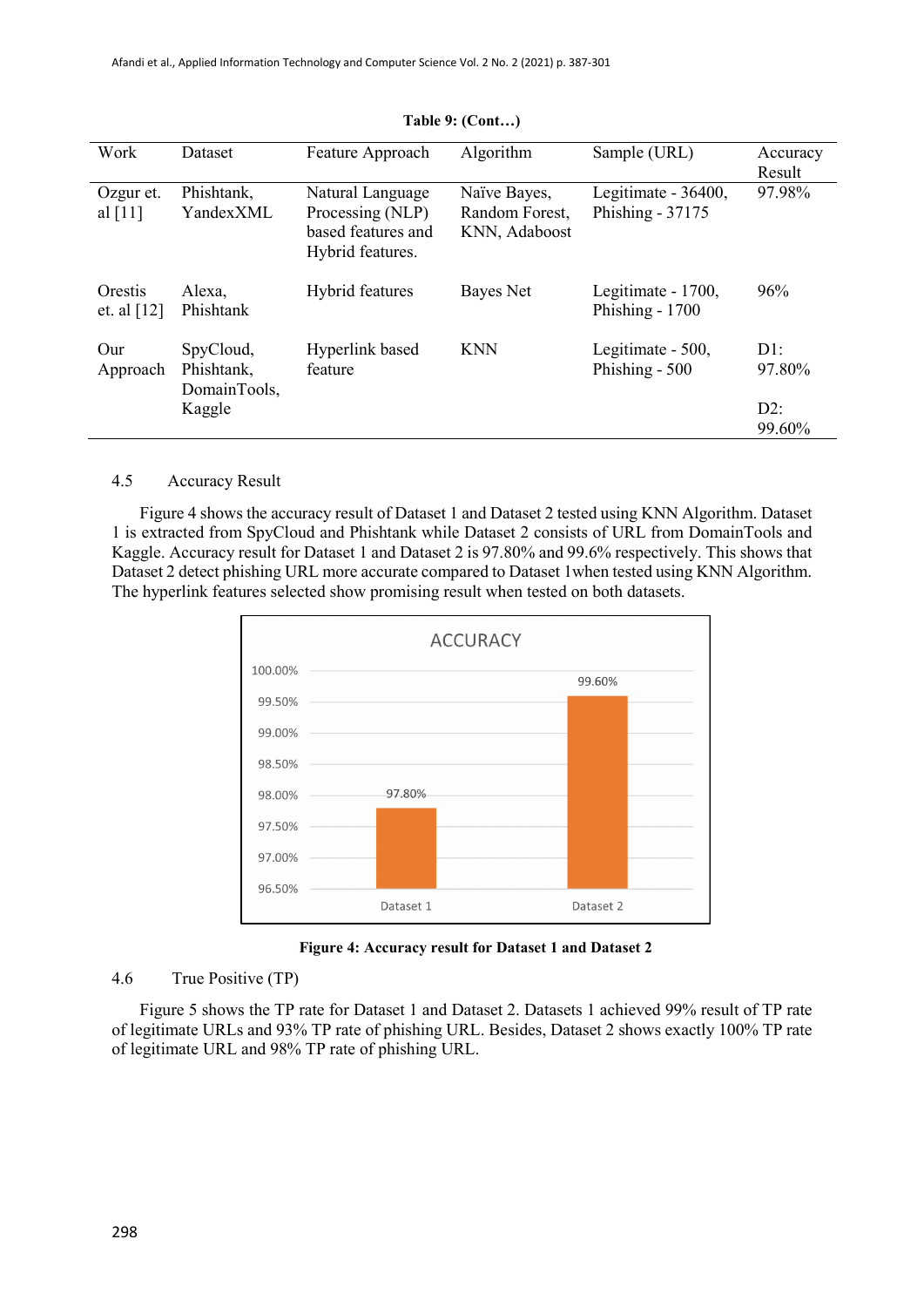| Work                     | Dataset                                 | Feature Approach                                                               | Algorithm                                       | Sample (URL)                              | Accuracy<br>Result |
|--------------------------|-----------------------------------------|--------------------------------------------------------------------------------|-------------------------------------------------|-------------------------------------------|--------------------|
| Ozgur et.<br>al $[11]$   | Phishtank,<br>YandexXML                 | Natural Language<br>Processing (NLP)<br>based features and<br>Hybrid features. | Naïve Bayes,<br>Random Forest,<br>KNN, Adaboost | Legitimate - 36400,<br>Phishing - $37175$ | 97.98%             |
| Orestis<br>et. al $[12]$ | Alexa,<br>Phishtank                     | Hybrid features                                                                | Bayes Net                                       | Legitimate - 1700,<br>Phishing - 1700     | 96%                |
| Our<br>Approach          | SpyCloud,<br>Phishtank,<br>DomainTools, | Hyperlink based<br>feature                                                     | <b>KNN</b>                                      | Legitimate - 500,<br>Phishing - 500       | D1:<br>97.80%      |
|                          | Kaggle                                  |                                                                                |                                                 |                                           | $D2$ :<br>99.60%   |

#### **Table 9: (Cont…)**

# 4.5 Accuracy Result

Figure 4 shows the accuracy result of Dataset 1 and Dataset 2 tested using KNN Algorithm. Dataset 1 is extracted from SpyCloud and Phishtank while Dataset 2 consists of URL from DomainTools and Kaggle. Accuracy result for Dataset 1 and Dataset 2 is 97.80% and 99.6% respectively. This shows that Dataset 2 detect phishing URL more accurate compared to Dataset 1when tested using KNN Algorithm. The hyperlink features selected show promising result when tested on both datasets.



**Figure 4: Accuracy result for Dataset 1 and Dataset 2**

# 4.6 True Positive (TP)

Figure 5 shows the TP rate for Dataset 1 and Dataset 2. Datasets 1 achieved 99% result of TP rate of legitimate URLs and 93% TP rate of phishing URL. Besides, Dataset 2 shows exactly 100% TP rate of legitimate URL and 98% TP rate of phishing URL.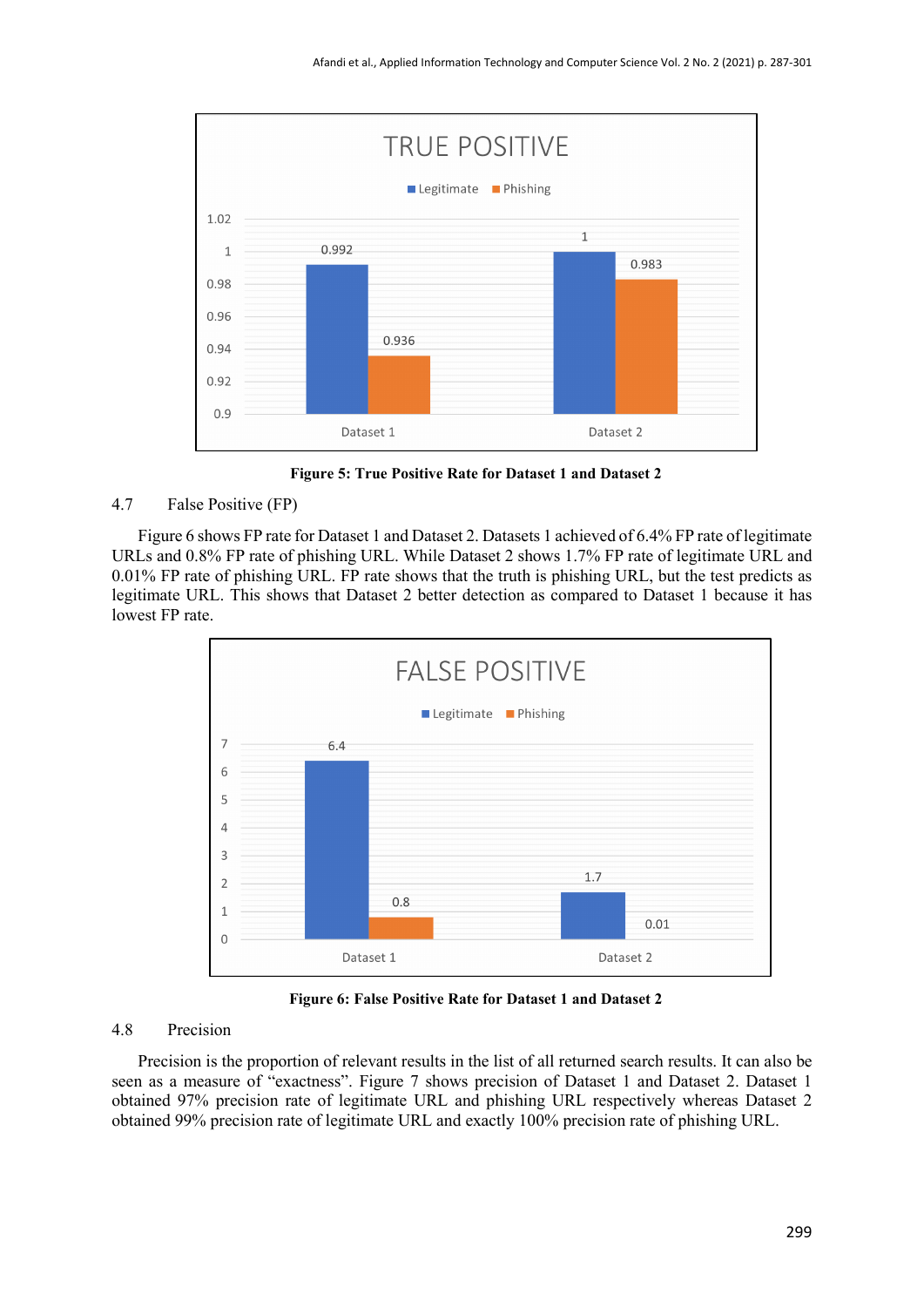

**Figure 5: True Positive Rate for Dataset 1 and Dataset 2**

# 4.7 False Positive (FP)

Figure 6 shows FP rate for Dataset 1 and Dataset 2. Datasets 1 achieved of 6.4% FP rate of legitimate URLs and 0.8% FP rate of phishing URL. While Dataset 2 shows 1.7% FP rate of legitimate URL and 0.01% FP rate of phishing URL. FP rate shows that the truth is phishing URL, but the test predicts as legitimate URL. This shows that Dataset 2 better detection as compared to Dataset 1 because it has lowest FP rate.



**Figure 6: False Positive Rate for Dataset 1 and Dataset 2**

#### 4.8 Precision

Precision is the proportion of relevant results in the list of all returned search results. It can also be seen as a measure of "exactness". Figure 7 shows precision of Dataset 1 and Dataset 2. Dataset 1 obtained 97% precision rate of legitimate URL and phishing URL respectively whereas Dataset 2 obtained 99% precision rate of legitimate URL and exactly 100% precision rate of phishing URL.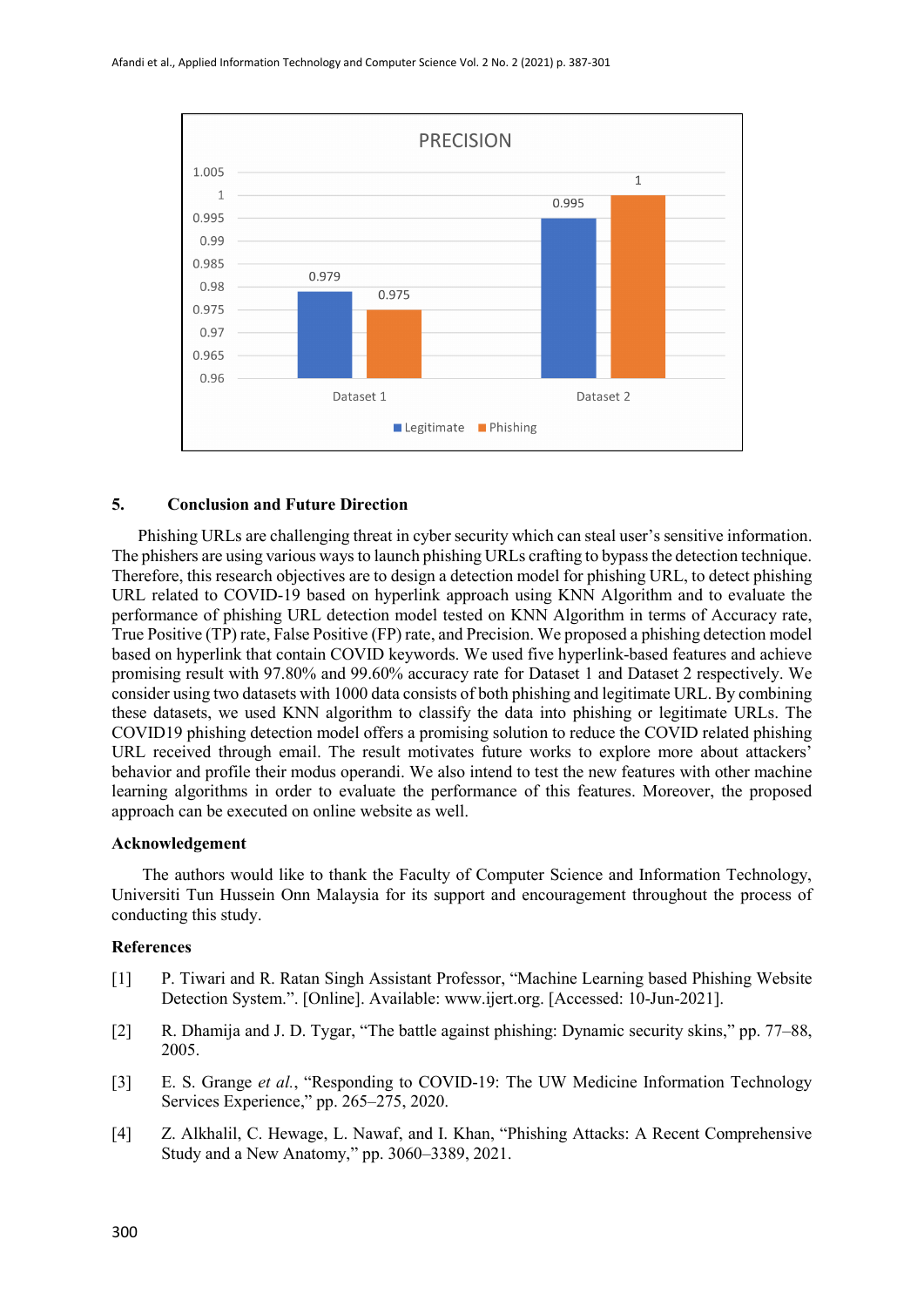

# **5. Conclusion and Future Direction**

Phishing URLs are challenging threat in cyber security which can steal user's sensitive information. The phishers are using various ways to launch phishing URLs crafting to bypass the detection technique. Therefore, this research objectives are to design a detection model for phishing URL, to detect phishing URL related to COVID-19 based on hyperlink approach using KNN Algorithm and to evaluate the performance of phishing URL detection model tested on KNN Algorithm in terms of Accuracy rate, True Positive (TP) rate, False Positive (FP) rate, and Precision. We proposed a phishing detection model based on hyperlink that contain COVID keywords. We used five hyperlink-based features and achieve promising result with 97.80% and 99.60% accuracy rate for Dataset 1 and Dataset 2 respectively. We consider using two datasets with 1000 data consists of both phishing and legitimate URL. By combining these datasets, we used KNN algorithm to classify the data into phishing or legitimate URLs. The COVID19 phishing detection model offers a promising solution to reduce the COVID related phishing URL received through email. The result motivates future works to explore more about attackers' behavior and profile their modus operandi. We also intend to test the new features with other machine learning algorithms in order to evaluate the performance of this features. Moreover, the proposed approach can be executed on online website as well.

#### **Acknowledgement**

 The authors would like to thank the Faculty of Computer Science and Information Technology, Universiti Tun Hussein Onn Malaysia for its support and encouragement throughout the process of conducting this study.

#### **References**

- [1] P. Tiwari and R. Ratan Singh Assistant Professor, "Machine Learning based Phishing Website Detection System.". [Online]. Available: www.ijert.org. [Accessed: 10-Jun-2021].
- [2] R. Dhamija and J. D. Tygar, "The battle against phishing: Dynamic security skins," pp. 77–88, 2005.
- [3] E. S. Grange *et al.*, "Responding to COVID-19: The UW Medicine Information Technology Services Experience," pp. 265–275, 2020.
- [4] Z. Alkhalil, C. Hewage, L. Nawaf, and I. Khan, "Phishing Attacks: A Recent Comprehensive Study and a New Anatomy," pp. 3060–3389, 2021.